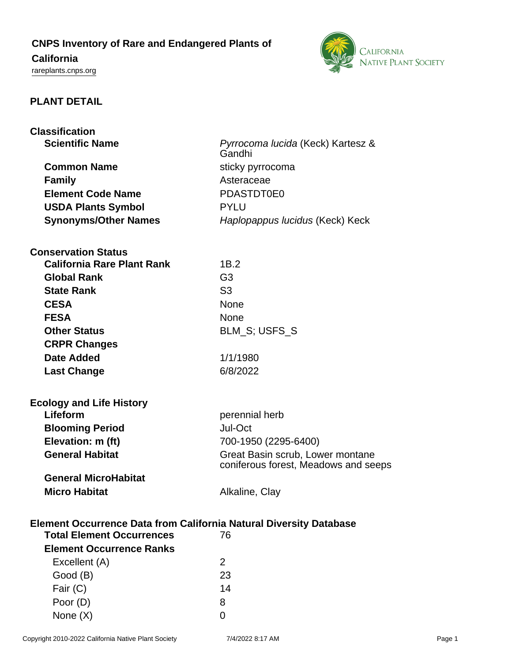# **CNPS Inventory of Rare and Endangered Plants of**

# **California**

<rareplants.cnps.org>



# **PLANT DETAIL**

| <b>Classification</b>                                                     |                                             |
|---------------------------------------------------------------------------|---------------------------------------------|
| <b>Scientific Name</b>                                                    | Pyrrocoma lucida (Keck) Kartesz &<br>Gandhi |
| <b>Common Name</b>                                                        | sticky pyrrocoma                            |
| <b>Family</b>                                                             | Asteraceae                                  |
| <b>Element Code Name</b>                                                  | PDASTDT0E0                                  |
| <b>USDA Plants Symbol</b>                                                 | <b>PYLU</b>                                 |
| <b>Synonyms/Other Names</b>                                               | Haplopappus lucidus (Keck) Keck             |
|                                                                           |                                             |
| <b>Conservation Status</b>                                                |                                             |
| <b>California Rare Plant Rank</b>                                         | 1B.2                                        |
| <b>Global Rank</b>                                                        | G <sub>3</sub>                              |
| <b>State Rank</b>                                                         | S <sub>3</sub>                              |
| <b>CESA</b>                                                               | <b>None</b>                                 |
| <b>FESA</b>                                                               | None                                        |
| <b>Other Status</b>                                                       | BLM_S; USFS_S                               |
| <b>CRPR Changes</b>                                                       |                                             |
| <b>Date Added</b>                                                         | 1/1/1980                                    |
|                                                                           | 6/8/2022                                    |
| <b>Last Change</b>                                                        |                                             |
| <b>Ecology and Life History</b>                                           |                                             |
| Lifeform                                                                  | perennial herb                              |
| <b>Blooming Period</b>                                                    | Jul-Oct                                     |
| Elevation: m (ft)                                                         | 700-1950 (2295-6400)                        |
| <b>General Habitat</b>                                                    | Great Basin scrub, Lower montane            |
|                                                                           | coniferous forest, Meadows and seeps        |
| <b>General MicroHabitat</b>                                               |                                             |
| <b>Micro Habitat</b>                                                      | Alkaline, Clay                              |
|                                                                           |                                             |
| <b>Element Occurrence Data from California Natural Diversity Database</b> |                                             |
| <b>Total Element Occurrences</b>                                          | 76                                          |
| <b>Element Occurrence Ranks</b>                                           |                                             |
| Excellent (A)                                                             | $\overline{2}$                              |
| Good (B)                                                                  | 23                                          |
| Fair $(C)$                                                                | 14                                          |
| Poor (D)                                                                  | 8                                           |

None  $(X)$  0